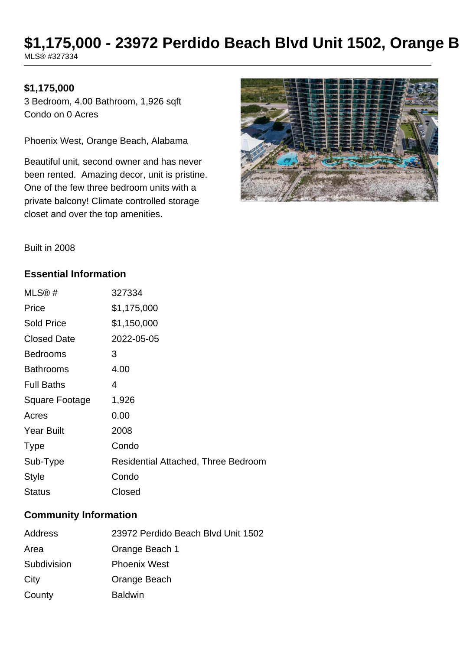## \$1,175,000 - 23972 Perdido Beach Blvd Unit 1502, Orange B MLS® #327334

#### **\$1,175,000**

3 Bedroom, 4.00 Bathroom, 1,926 sqft Condo on 0 Acres

Phoenix West, Orange Beach, Alabama

Beautiful unit, second owner and has never been rented. Amazing decor, unit is pristine. One of the few three bedroom units with a private balcony! Climate controlled storage closet and over the top amenities.



Built in 2008

#### **Essential Information**

| MLS@#              | 327334                              |
|--------------------|-------------------------------------|
| Price              | \$1,175,000                         |
| <b>Sold Price</b>  | \$1,150,000                         |
| <b>Closed Date</b> | 2022-05-05                          |
| <b>Bedrooms</b>    | 3                                   |
| <b>Bathrooms</b>   | 4.00                                |
| <b>Full Baths</b>  | 4                                   |
| Square Footage     | 1,926                               |
| Acres              | 0.00                                |
| <b>Year Built</b>  | 2008                                |
| <b>Type</b>        | Condo                               |
| Sub-Type           | Residential Attached, Three Bedroom |
| <b>Style</b>       | Condo                               |
| Status             | Closed                              |

#### **Community Information**

| Address     | 23972 Perdido Beach Blyd Unit 1502 |
|-------------|------------------------------------|
| Area        | Orange Beach 1                     |
| Subdivision | <b>Phoenix West</b>                |
| City        | Orange Beach                       |
| County      | <b>Baldwin</b>                     |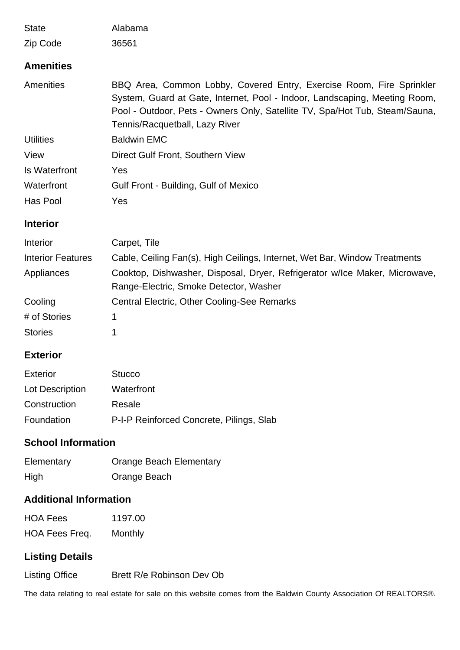| <b>State</b>         | Alabama                                                                                                                                                                                                                                                             |
|----------------------|---------------------------------------------------------------------------------------------------------------------------------------------------------------------------------------------------------------------------------------------------------------------|
| Zip Code             | 36561                                                                                                                                                                                                                                                               |
| <b>Amenities</b>     |                                                                                                                                                                                                                                                                     |
| Amenities            | BBQ Area, Common Lobby, Covered Entry, Exercise Room, Fire Sprinkler<br>System, Guard at Gate, Internet, Pool - Indoor, Landscaping, Meeting Room,<br>Pool - Outdoor, Pets - Owners Only, Satellite TV, Spa/Hot Tub, Steam/Sauna,<br>Tennis/Racquetball, Lazy River |
| <b>Utilities</b>     | <b>Baldwin EMC</b>                                                                                                                                                                                                                                                  |
| View                 | Direct Gulf Front, Southern View                                                                                                                                                                                                                                    |
| <b>Is Waterfront</b> | Yes                                                                                                                                                                                                                                                                 |
| Waterfront           | Gulf Front - Building, Gulf of Mexico                                                                                                                                                                                                                               |
| Has Pool             | Yes                                                                                                                                                                                                                                                                 |
| <b>Interior</b>      |                                                                                                                                                                                                                                                                     |
|                      |                                                                                                                                                                                                                                                                     |

| <b>Interior</b>          | Carpet, Tile                                                                                                         |
|--------------------------|----------------------------------------------------------------------------------------------------------------------|
| <b>Interior Features</b> | Cable, Ceiling Fan(s), High Ceilings, Internet, Wet Bar, Window Treatments                                           |
| Appliances               | Cooktop, Dishwasher, Disposal, Dryer, Refrigerator w/lce Maker, Microwave,<br>Range-Electric, Smoke Detector, Washer |
| Cooling                  | <b>Central Electric, Other Cooling-See Remarks</b>                                                                   |
| # of Stories             |                                                                                                                      |
| <b>Stories</b>           |                                                                                                                      |

### **Exterior**

| <b>Exterior</b> | <b>Stucco</b>                            |
|-----------------|------------------------------------------|
| Lot Description | Waterfront                               |
| Construction    | Resale                                   |
| Foundation      | P-I-P Reinforced Concrete, Pilings, Slab |

## **School Information**

| Elementary | <b>Orange Beach Elementary</b> |
|------------|--------------------------------|
| High       | Orange Beach                   |

## **Additional Information**

| HOA Fees       | 1197.00 |
|----------------|---------|
| HOA Fees Freq. | Monthly |

# **Listing Details**

Listing Office Brett R/e Robinson Dev Ob

The data relating to real estate for sale on this website comes from the Baldwin County Association Of REALTORS®.